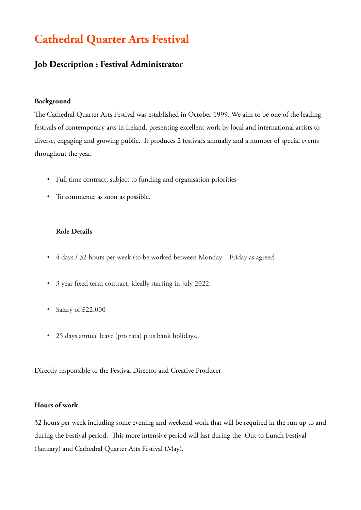# **Cathedral Quarter Arts Festival**

# **Job Description : Festival Administrator**

#### **Background**

The Cathedral Quarter Arts Festival was established in October 1999. We aim to be one of the leading festivals of contemporary arts in Ireland, presenting excellent work by local and international artists to diverse, engaging and growing public. It produces 2 festival's annually and a number of special events throughout the year.

- Full time contract, subject to funding and organisation priorities
- To commence as soon as possible.

#### **Role Details**

- 4 days / 32 hours per week (to be worked between Monday Friday as agreed
- 3 year fixed term contract, ideally starting in July 2022.
- Salary of £22.000
- 25 days annual leave (pro rata) plus bank holidays.

Directly responsible to the Festival Director and Creative Producer

#### **Hours of work**

32 hours per week including some evening and weekend work that will be required in the run up to and during the Festival period. This more intensive period will last during the Out to Lunch Festival (January) and Cathedral Quarter Arts Festival (May).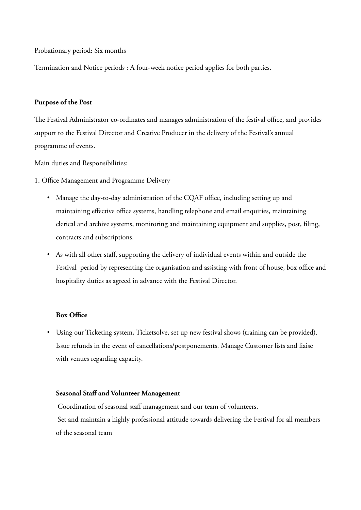Probationary period: Six months

Termination and Notice periods : A four-week notice period applies for both parties.

#### **Purpose of the Post**

The Festival Administrator co-ordinates and manages administration of the festival office, and provides support to the Festival Director and Creative Producer in the delivery of the Festival's annual programme of events.

Main duties and Responsibilities:

- 1. Office Management and Programme Delivery
	- Manage the day-to-day administration of the CQAF office, including setting up and maintaining effective office systems, handling telephone and email enquiries, maintaining clerical and archive systems, monitoring and maintaining equipment and supplies, post, filing, contracts and subscriptions.
	- As with all other staff, supporting the delivery of individual events within and outside the Festival period by representing the organisation and assisting with front of house, box office and hospitality duties as agreed in advance with the Festival Director.

#### **Box Office**

• Using our Ticketing system, Ticketsolve, set up new festival shows (training can be provided). Issue refunds in the event of cancellations/postponements. Manage Customer lists and liaise with venues regarding capacity.

#### **Seasonal Staff and Volunteer Management**

 Coordination of seasonal staff management and our team of volunteers. Set and maintain a highly professional attitude towards delivering the Festival for all members of the seasonal team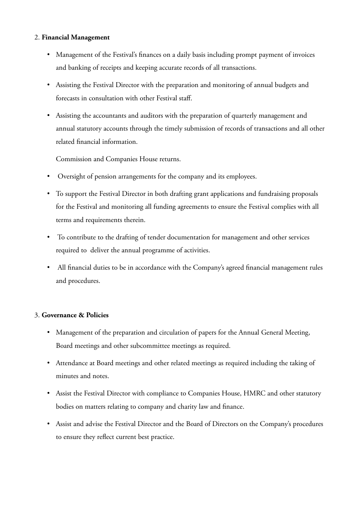#### 2. **Financial Management**

- Management of the Festival's finances on a daily basis including prompt payment of invoices and banking of receipts and keeping accurate records of all transactions.
- Assisting the Festival Director with the preparation and monitoring of annual budgets and forecasts in consultation with other Festival staff.
- Assisting the accountants and auditors with the preparation of quarterly management and annual statutory accounts through the timely submission of records of transactions and all other related financial information.

Commission and Companies House returns.

- Oversight of pension arrangements for the company and its employees.
- To support the Festival Director in both drafting grant applications and fundraising proposals for the Festival and monitoring all funding agreements to ensure the Festival complies with all terms and requirements therein.
- To contribute to the drafting of tender documentation for management and other services required to deliver the annual programme of activities.
- All financial duties to be in accordance with the Company's agreed financial management rules and procedures.

#### 3. **Governance & Policies**

- Management of the preparation and circulation of papers for the Annual General Meeting, Board meetings and other subcommittee meetings as required.
- Attendance at Board meetings and other related meetings as required including the taking of minutes and notes.
- Assist the Festival Director with compliance to Companies House, HMRC and other statutory bodies on matters relating to company and charity law and finance.
- Assist and advise the Festival Director and the Board of Directors on the Company's procedures to ensure they reflect current best practice.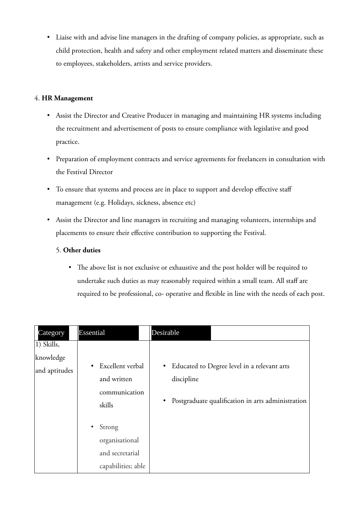• Liaise with and advise line managers in the drafting of company policies, as appropriate, such as child protection, health and safety and other employment related matters and disseminate these to employees, stakeholders, artists and service providers.

#### 4. **HR Management**

- Assist the Director and Creative Producer in managing and maintaining HR systems including the recruitment and advertisement of posts to ensure compliance with legislative and good practice.
- Preparation of employment contracts and service agreements for freelancers in consultation with the Festival Director
- To ensure that systems and process are in place to support and develop effective staff management (e.g. Holidays, sickness, absence etc)
- Assist the Director and line managers in recruiting and managing volunteers, internships and placements to ensure their effective contribution to supporting the Festival.

#### 5. **Other duties**

• The above list is not exclusive or exhaustive and the post holder will be required to undertake such duties as may reasonably required within a small team. All staff are required to be professional, co- operative and flexible in line with the needs of each post.

| Category                                 | <b>Essential</b>                                                  | <b>Desirable</b>                                                                                                              |
|------------------------------------------|-------------------------------------------------------------------|-------------------------------------------------------------------------------------------------------------------------------|
| 1) Skills,<br>knowledge<br>and aptitudes | Excellent verbal<br>and written<br>communication<br>skills        | • Educated to Degree level in a relevant arts<br>discipline<br>Postgraduate qualification in arts administration<br>$\bullet$ |
|                                          | Strong<br>organisational<br>and secretarial<br>capabilities; able |                                                                                                                               |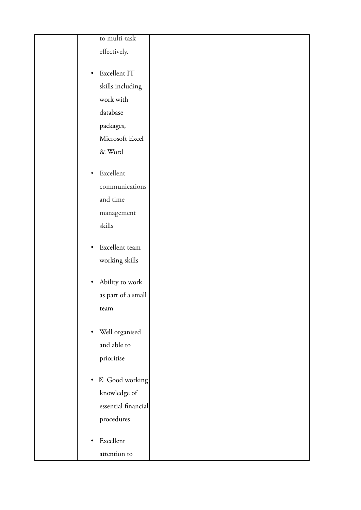| to multi-task                         |  |
|---------------------------------------|--|
| effectively.                          |  |
|                                       |  |
| Excellent IT<br>$\bullet$             |  |
| skills including                      |  |
| work with                             |  |
| database                              |  |
| packages,                             |  |
| Microsoft Excel                       |  |
| & Word                                |  |
|                                       |  |
| Excellent<br>$\bullet$                |  |
| communications                        |  |
| and time                              |  |
| management                            |  |
| skills                                |  |
|                                       |  |
| Excellent team<br>$\bullet$           |  |
| working skills                        |  |
| Ability to work<br>$\bullet$          |  |
| as part of a small                    |  |
|                                       |  |
| team                                  |  |
| · Well organised                      |  |
| and able to                           |  |
| prioritise                            |  |
|                                       |  |
| $\boxtimes$ Good working<br>$\bullet$ |  |
| knowledge of                          |  |
| essential financial                   |  |
| procedures                            |  |
|                                       |  |
| Excellent<br>$\bullet$                |  |
| attention to                          |  |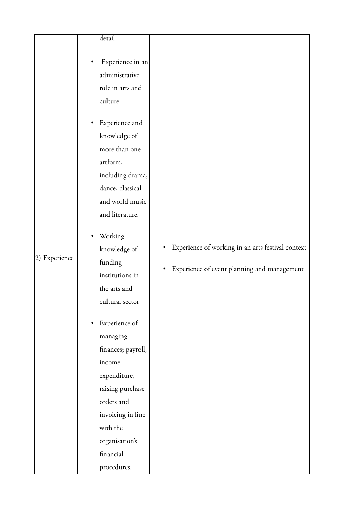| Experience in an<br>administrative<br>role in arts and<br>culture.<br>Experience and<br>knowledge of<br>more than one<br>artform,<br>including drama,<br>dance, classical<br>and world music<br>and literature.<br>Working<br>knowledge of<br>2) Experience<br>funding<br>institutions in<br>the arts and<br>cultural sector<br>Experience of<br>managing<br>finances; payroll,<br>income +<br>expenditure,<br>raising purchase<br>orders and<br>invoicing in line<br>with the | detail         |                                                                                                  |
|--------------------------------------------------------------------------------------------------------------------------------------------------------------------------------------------------------------------------------------------------------------------------------------------------------------------------------------------------------------------------------------------------------------------------------------------------------------------------------|----------------|--------------------------------------------------------------------------------------------------|
|                                                                                                                                                                                                                                                                                                                                                                                                                                                                                |                |                                                                                                  |
|                                                                                                                                                                                                                                                                                                                                                                                                                                                                                |                |                                                                                                  |
|                                                                                                                                                                                                                                                                                                                                                                                                                                                                                |                |                                                                                                  |
|                                                                                                                                                                                                                                                                                                                                                                                                                                                                                |                |                                                                                                  |
|                                                                                                                                                                                                                                                                                                                                                                                                                                                                                |                |                                                                                                  |
| financial                                                                                                                                                                                                                                                                                                                                                                                                                                                                      | organisation's | Experience of working in an arts festival context<br>Experience of event planning and management |